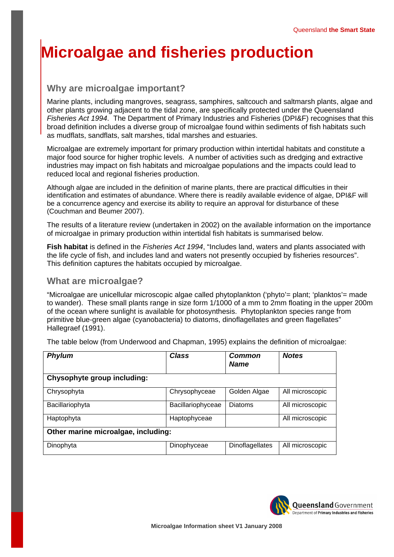# **Microalgae and fisheries production**

## **Why are microalgae important?**

Marine plants, including mangroves, seagrass, samphires, saltcouch and saltmarsh plants, algae and other plants growing adjacent to the tidal zone, are specifically protected under the Queensland *Fisheries Act 1994*. The Department of Primary Industries and Fisheries (DPI&F) recognises that this broad definition includes a diverse group of microalgae found within sediments of fish habitats such as mudflats, sandflats, salt marshes, tidal marshes and estuaries.

Microalgae are extremely important for primary production within intertidal habitats and constitute a major food source for higher trophic levels. A number of activities such as dredging and extractive industries may impact on fish habitats and microalgae populations and the impacts could lead to reduced local and regional fisheries production.

Although algae are included in the definition of marine plants, there are practical difficulties in their identification and estimates of abundance. Where there is readily available evidence of algae, DPI&F will be a concurrence agency and exercise its ability to require an approval for disturbance of these (Couchman and Beumer 2007).

The results of a literature review (undertaken in 2002) on the available information on the importance of microalgae in primary production within intertidal fish habitats is summarised below.

**Fish habitat** is defined in the *Fisheries Act 1994*, "Includes land, waters and plants associated with the life cycle of fish, and includes land and waters not presently occupied by fisheries resources". This definition captures the habitats occupied by microalgae.

## **What are microalgae?**

"Microalgae are unicellular microscopic algae called phytoplankton ('phyto'= plant; 'planktos'= made to wander). These small plants range in size form 1/1000 of a mm to 2mm floating in the upper 200m of the ocean where sunlight is available for photosynthesis. Phytoplankton species range from primitive blue-green algae (cyanobacteria) to diatoms, dinoflagellates and green flagellates" Hallegraef (1991).

The table below (from Underwood and Chapman, 1995) explains the definition of microalgae:

| <b>Phylum</b>                       | <b>Class</b>      | Common<br><b>Name</b> | <b>Notes</b>    |
|-------------------------------------|-------------------|-----------------------|-----------------|
| Chysophyte group including:         |                   |                       |                 |
| Chrysophyta                         | Chrysophyceae     | Golden Algae          | All microscopic |
| Bacillariophyta                     | Bacillariophyceae | <b>Diatoms</b>        | All microscopic |
| Haptophyta                          | Haptophyceae      |                       | All microscopic |
| Other marine microalgae, including: |                   |                       |                 |
| Dinophyta                           | Dinophyceae       | Dinoflagellates       | All microscopic |

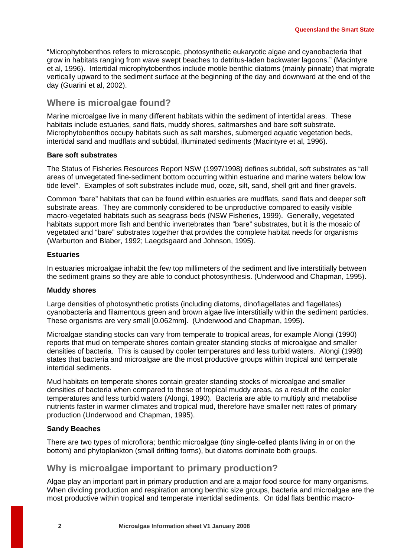"Microphytobenthos refers to microscopic, photosynthetic eukaryotic algae and cyanobacteria that grow in habitats ranging from wave swept beaches to detritus-laden backwater lagoons." (Macintyre et al, 1996). Intertidal microphytobenthos include motile benthic diatoms (mainly pinnate) that migrate vertically upward to the sediment surface at the beginning of the day and downward at the end of the day (Guarini et al, 2002).

#### **Where is microalgae found?**

Marine microalgae live in many different habitats within the sediment of intertidal areas. These habitats include estuaries, sand flats, muddy shores, saltmarshes and bare soft substrate. Microphytobenthos occupy habitats such as salt marshes, submerged aquatic vegetation beds, intertidal sand and mudflats and subtidal, illuminated sediments (Macintyre et al, 1996).

#### **Bare soft substrates**

The Status of Fisheries Resources Report NSW (1997/1998) defines subtidal, soft substrates as "all areas of unvegetated fine-sediment bottom occurring within estuarine and marine waters below low tide level". Examples of soft substrates include mud, ooze, silt, sand, shell grit and finer gravels.

Common "bare" habitats that can be found within estuaries are mudflats, sand flats and deeper soft substrate areas. They are commonly considered to be unproductive compared to easily visible macro-vegetated habitats such as seagrass beds (NSW Fisheries, 1999). Generally, vegetated habitats support more fish and benthic invertebrates than "bare" substrates, but it is the mosaic of vegetated and "bare" substrates together that provides the complete habitat needs for organisms (Warburton and Blaber, 1992; Laegdsgaard and Johnson, 1995).

#### **Estuaries**

In estuaries microalgae inhabit the few top millimeters of the sediment and live interstitially between the sediment grains so they are able to conduct photosynthesis. (Underwood and Chapman, 1995).

#### **Muddy shores**

Large densities of photosynthetic protists (including diatoms, dinoflagellates and flagellates) cyanobacteria and filamentous green and brown algae live interstitially within the sediment particles. These organisms are very small [0.062mm]. (Underwood and Chapman, 1995).

Microalgae standing stocks can vary from temperate to tropical areas, for example Alongi (1990) reports that mud on temperate shores contain greater standing stocks of microalgae and smaller densities of bacteria. This is caused by cooler temperatures and less turbid waters. Alongi (1998) states that bacteria and microalgae are the most productive groups within tropical and temperate intertidal sediments.

Mud habitats on temperate shores contain greater standing stocks of microalgae and smaller densities of bacteria when compared to those of tropical muddy areas, as a result of the cooler temperatures and less turbid waters (Alongi, 1990). Bacteria are able to multiply and metabolise nutrients faster in warmer climates and tropical mud, therefore have smaller nett rates of primary production (Underwood and Chapman, 1995).

#### **Sandy Beaches**

There are two types of microflora; benthic microalgae (tiny single-celled plants living in or on the bottom) and phytoplankton (small drifting forms), but diatoms dominate both groups.

## **Why is microalgae important to primary production?**

Algae play an important part in primary production and are a major food source for many organisms. When dividing production and respiration among benthic size groups, bacteria and microalgae are the most productive within tropical and temperate intertidal sediments. On tidal flats benthic macro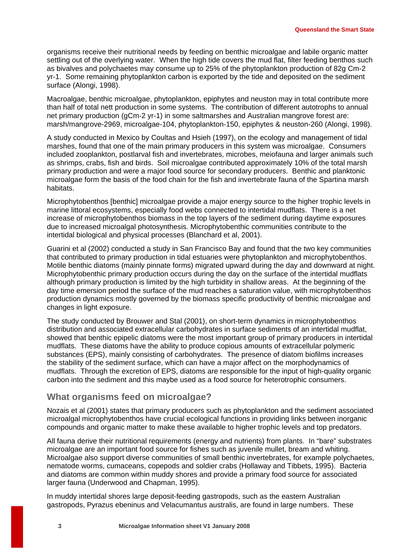organisms receive their nutritional needs by feeding on benthic microalgae and labile organic matter settling out of the overlying water. When the high tide covers the mud flat, filter feeding benthos such as bivalves and polychaetes may consume up to 25% of the phytoplankton production of 82g Cm-2 yr-1. Some remaining phytoplankton carbon is exported by the tide and deposited on the sediment surface (Alongi, 1998).

Macroalgae, benthic microalgae, phytoplankton, epiphytes and neuston may in total contribute more than half of total nett production in some systems. The contribution of different autotrophs to annual net primary production (gCm-2 yr-1) in some saltmarshes and Australian mangrove forest are: marsh/mangrove-2969, microalgae-104, phytoplankton-150, epiphytes & neuston-260 (Alongi, 1998).

A study conducted in Mexico by Coultas and Hsieh (1997), on the ecology and management of tidal marshes, found that one of the main primary producers in this system was microalgae. Consumers included zooplankton, postlarval fish and invertebrates, microbes, meiofauna and larger animals such as shrimps, crabs, fish and birds. Soil microalgae contributed approximately 10% of the total marsh primary production and were a major food source for secondary producers. Benthic and planktonic microalgae form the basis of the food chain for the fish and invertebrate fauna of the Spartina marsh habitats.

Microphytobenthos [benthic] microalgae provide a major energy source to the higher trophic levels in marine littoral ecosystems, especially food webs connected to intertidal mudflats. There is a net increase of microphytobenthos biomass in the top layers of the sediment during daytime exposures due to increased microalgal photosynthesis. Microphytobenthic communities contribute to the intertidal biological and physical processes (Blanchard et al, 2001).

Guarini et al (2002) conducted a study in San Francisco Bay and found that the two key communities that contributed to primary production in tidal estuaries were phytoplankton and microphytobenthos. Motile benthic diatoms (mainly pinnate forms) migrated upward during the day and downward at night. Microphytobenthic primary production occurs during the day on the surface of the intertidal mudflats although primary production is limited by the high turbidity in shallow areas. At the beginning of the day time emersion period the surface of the mud reaches a saturation value, with microphytobenthos production dynamics mostly governed by the biomass specific productivity of benthic microalgae and changes in light exposure.

The study conducted by Brouwer and Stal (2001), on short-term dynamics in microphytobenthos distribution and associated extracellular carbohydrates in surface sediments of an intertidal mudflat, showed that benthic epipelic diatoms were the most important group of primary producers in intertidal mudflats. These diatoms have the ability to produce copious amounts of extracellular polymeric substances (EPS), mainly consisting of carbohydrates. The presence of diatom biofilms increases the stability of the sediment surface, which can have a major affect on the morphodynamics of mudflats. Through the excretion of EPS, diatoms are responsible for the input of high-quality organic carbon into the sediment and this maybe used as a food source for heterotrophic consumers.

## **What organisms feed on microalgae?**

Nozais et al (2001) states that primary producers such as phytoplankton and the sediment associated microalgal microphytobenthos have crucial ecological functions in providing links between inorganic compounds and organic matter to make these available to higher trophic levels and top predators.

All fauna derive their nutritional requirements (energy and nutrients) from plants. In "bare" substrates microalgae are an important food source for fishes such as juvenile mullet, bream and whiting. Microalgae also support diverse communities of small benthic invertebrates, for example polychaetes, nematode worms, cumaceans, copepods and soldier crabs (Hollaway and Tibbets, 1995). Bacteria and diatoms are common within muddy shores and provide a primary food source for associated larger fauna (Underwood and Chapman, 1995).

In muddy intertidal shores large deposit-feeding gastropods, such as the eastern Australian gastropods, Pyrazus ebeninus and Velacumantus australis, are found in large numbers. These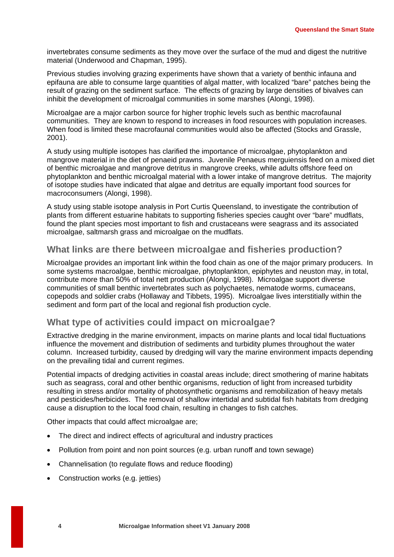invertebrates consume sediments as they move over the surface of the mud and digest the nutritive material (Underwood and Chapman, 1995).

Previous studies involving grazing experiments have shown that a variety of benthic infauna and epifauna are able to consume large quantities of algal matter, with localized "bare" patches being the result of grazing on the sediment surface. The effects of grazing by large densities of bivalves can inhibit the development of microalgal communities in some marshes (Alongi, 1998).

Microalgae are a major carbon source for higher trophic levels such as benthic macrofaunal communities. They are known to respond to increases in food resources with population increases. When food is limited these macrofaunal communities would also be affected (Stocks and Grassle, 2001).

A study using multiple isotopes has clarified the importance of microalgae, phytoplankton and mangrove material in the diet of penaeid prawns. Juvenile Penaeus merguiensis feed on a mixed diet of benthic microalgae and mangrove detritus in mangrove creeks, while adults offshore feed on phytoplankton and benthic microalgal material with a lower intake of mangrove detritus. The majority of isotope studies have indicated that algae and detritus are equally important food sources for macroconsumers (Alongi, 1998).

A study using stable isotope analysis in Port Curtis Queensland, to investigate the contribution of plants from different estuarine habitats to supporting fisheries species caught over "bare" mudflats, found the plant species most important to fish and crustaceans were seagrass and its associated microalgae, saltmarsh grass and microalgae on the mudflats.

## **What links are there between microalgae and fisheries production?**

Microalgae provides an important link within the food chain as one of the major primary producers. In some systems macroalgae, benthic microalgae, phytoplankton, epiphytes and neuston may, in total, contribute more than 50% of total nett production (Alongi, 1998). Microalgae support diverse communities of small benthic invertebrates such as polychaetes, nematode worms, cumaceans, copepods and soldier crabs (Hollaway and Tibbets, 1995). Microalgae lives interstitially within the sediment and form part of the local and regional fish production cycle.

## **What type of activities could impact on microalgae?**

Extractive dredging in the marine environment, impacts on marine plants and local tidal fluctuations influence the movement and distribution of sediments and turbidity plumes throughout the water column. Increased turbidity, caused by dredging will vary the marine environment impacts depending on the prevailing tidal and current regimes.

Potential impacts of dredging activities in coastal areas include; direct smothering of marine habitats such as seagrass, coral and other benthic organisms, reduction of light from increased turbidity resulting in stress and/or mortality of photosynthetic organisms and remobilization of heavy metals and pesticides/herbicides. The removal of shallow intertidal and subtidal fish habitats from dredging cause a disruption to the local food chain, resulting in changes to fish catches.

Other impacts that could affect microalgae are;

- The direct and indirect effects of agricultural and industry practices
- Pollution from point and non point sources (e.g. urban runoff and town sewage)
- Channelisation (to regulate flows and reduce flooding)
- Construction works (e.g. jetties)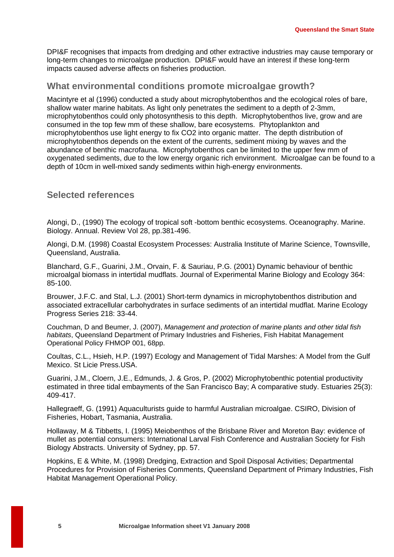DPI&F recognises that impacts from dredging and other extractive industries may cause temporary or long-term changes to microalgae production. DPI&F would have an interest if these long-term impacts caused adverse affects on fisheries production.

## **What environmental conditions promote microalgae growth?**

Macintyre et al (1996) conducted a study about microphytobenthos and the ecological roles of bare, shallow water marine habitats. As light only penetrates the sediment to a depth of 2-3mm, microphytobenthos could only photosynthesis to this depth. Microphytobenthos live, grow and are consumed in the top few mm of these shallow, bare ecosystems. Phytoplankton and microphytobenthos use light energy to fix CO2 into organic matter. The depth distribution of microphytobenthos depends on the extent of the currents, sediment mixing by waves and the abundance of benthic macrofauna. Microphytobenthos can be limited to the upper few mm of oxygenated sediments, due to the low energy organic rich environment. Microalgae can be found to a depth of 10cm in well-mixed sandy sediments within high-energy environments.

### **Selected references**

Alongi, D., (1990) The ecology of tropical soft -bottom benthic ecosystems. Oceanography. Marine. Biology. Annual. Review Vol 28, pp.381-496.

Alongi, D.M. (1998) Coastal Ecosystem Processes: Australia Institute of Marine Science, Townsville, Queensland, Australia.

Blanchard, G.F., Guarini, J.M., Orvain, F. & Sauriau, P.G. (2001) Dynamic behaviour of benthic microalgal biomass in intertidal mudflats. Journal of Experimental Marine Biology and Ecology 364: 85-100.

Brouwer, J.F.C. and Stal, L.J. (2001) Short-term dynamics in microphytobenthos distribution and associated extracellular carbohydrates in surface sediments of an intertidal mudflat. Marine Ecology Progress Series 218: 33-44.

Couchman, D and Beumer, J. (2007), *Management and protection of marine plants and other tidal fish habitats*, Queensland Department of Primary Industries and Fisheries, Fish Habitat Management Operational Policy FHMOP 001, 68pp.

Coultas, C.L., Hsieh, H.P. (1997) Ecology and Management of Tidal Marshes: A Model from the Gulf Mexico. St Licie Press.USA.

Guarini, J.M., Cloern, J.E., Edmunds, J. & Gros, P. (2002) Microphytobenthic potential productivity estimated in three tidal embayments of the San Francisco Bay; A comparative study. Estuaries 25(3): 409-417.

Hallegraeff, G. (1991) Aquaculturists guide to harmful Australian microalgae. CSIRO, Division of Fisheries, Hobart, Tasmania, Australia.

Hollaway, M & Tibbetts, I. (1995) Meiobenthos of the Brisbane River and Moreton Bay: evidence of mullet as potential consumers: International Larval Fish Conference and Australian Society for Fish Biology Abstracts. University of Sydney, pp. 57.

Hopkins, E & White, M. (1998) Dredging, Extraction and Spoil Disposal Activities; Departmental Procedures for Provision of Fisheries Comments, Queensland Department of Primary Industries, Fish Habitat Management Operational Policy.